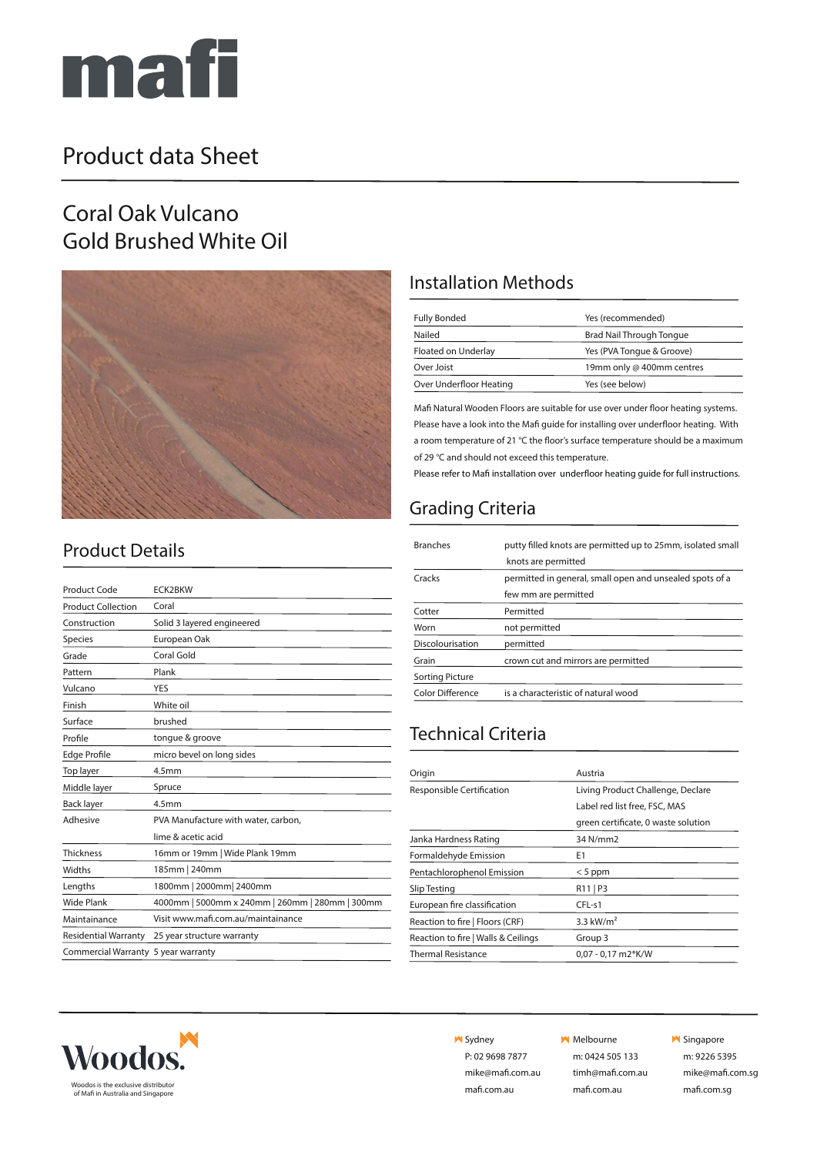

## Product data Sheet

#### Coral Oak Vulcano Gold Brushed White Oil



#### Installation Methods

| Yes (recommended)         |
|---------------------------|
| Brad Nail Through Tongue  |
| Yes (PVA Tongue & Groove) |
| 19mm only @ 400mm centres |
| Yes (see below)           |
|                           |

Mafi Natural Wooden Floors are suitable for use over under floor heating systems. Please have a look into the Mafi guide for installing over underfloor heating. With a room temperature of 21 °C the floor's surface temperature should be a maximum of 29 °C and should not exceed this temperature.

Please refer to Mafi installation over underfloor heating guide for full instructions.

#### Grading Criteria

| <b>Branches</b>        | putty filled knots are permitted up to 25mm, isolated small |
|------------------------|-------------------------------------------------------------|
|                        | knots are permitted                                         |
| Cracks                 | permitted in general, small open and unsealed spots of a    |
|                        | few mm are permitted                                        |
| Cotter                 | Permitted                                                   |
| Worn                   | not permitted                                               |
| Discolourisation       | permitted                                                   |
| Grain                  | crown cut and mirrors are permitted                         |
| <b>Sorting Picture</b> |                                                             |
| Color Difference       | is a characteristic of natural wood                         |

#### Technical Criteria

| Living Product Challenge, Declare<br>Label red list free, FSC, MAS |
|--------------------------------------------------------------------|
|                                                                    |
|                                                                    |
| green certificate, 0 waste solution                                |
| 34 N/mm2                                                           |
|                                                                    |
| $< 5$ ppm                                                          |
| $R11$   P3                                                         |
| $CFL-51$                                                           |
| 3.3 $kW/m2$                                                        |
| Group 3                                                            |
| $0.07 - 0.17$ m2*K/W                                               |
|                                                                    |



**N** Sydney

P: 02 9698 7877 mike@mafi.com.au mafi.com.au

#### **M** Melbourne

m: 0424 505 133 timh@mafi.com.au mafi.com.au

**M** Singapore

m: 9226 5395 mike@mafi.com.sg

## Product Details

| <b>Product Code</b>                 | <b>ECK2BKW</b>                                  |
|-------------------------------------|-------------------------------------------------|
| <b>Product Collection</b>           | Coral                                           |
| Construction                        | Solid 3 layered engineered                      |
| Species                             | European Oak                                    |
| Grade                               | Coral Gold                                      |
| Pattern                             | Plank                                           |
| Vulcano                             | YES                                             |
| Finish                              | White oil                                       |
| Surface                             | brushed                                         |
| Profile                             | tongue & groove                                 |
| <b>Edge Profile</b>                 | micro bevel on long sides                       |
| Top layer                           | 4.5 <sub>mm</sub>                               |
| Middle layer                        | Spruce                                          |
| <b>Back layer</b>                   | 4.5 <sub>mm</sub>                               |
| Adhesive                            | PVA Manufacture with water, carbon,             |
|                                     | lime & acetic acid                              |
| <b>Thickness</b>                    | 16mm or 19mm   Wide Plank 19mm                  |
| <b>Widths</b>                       | 185mm   240mm                                   |
| Lengths                             | 1800mm   2000mm   2400mm                        |
| <b>Wide Plank</b>                   | 4000mm   5000mm x 240mm   260mm   280mm   300mm |
| Maintainance                        | Visit www.mafi.com.au/maintainance              |
| <b>Residential Warranty</b>         | 25 year structure warranty                      |
| Commercial Warranty 5 year warranty |                                                 |
|                                     |                                                 |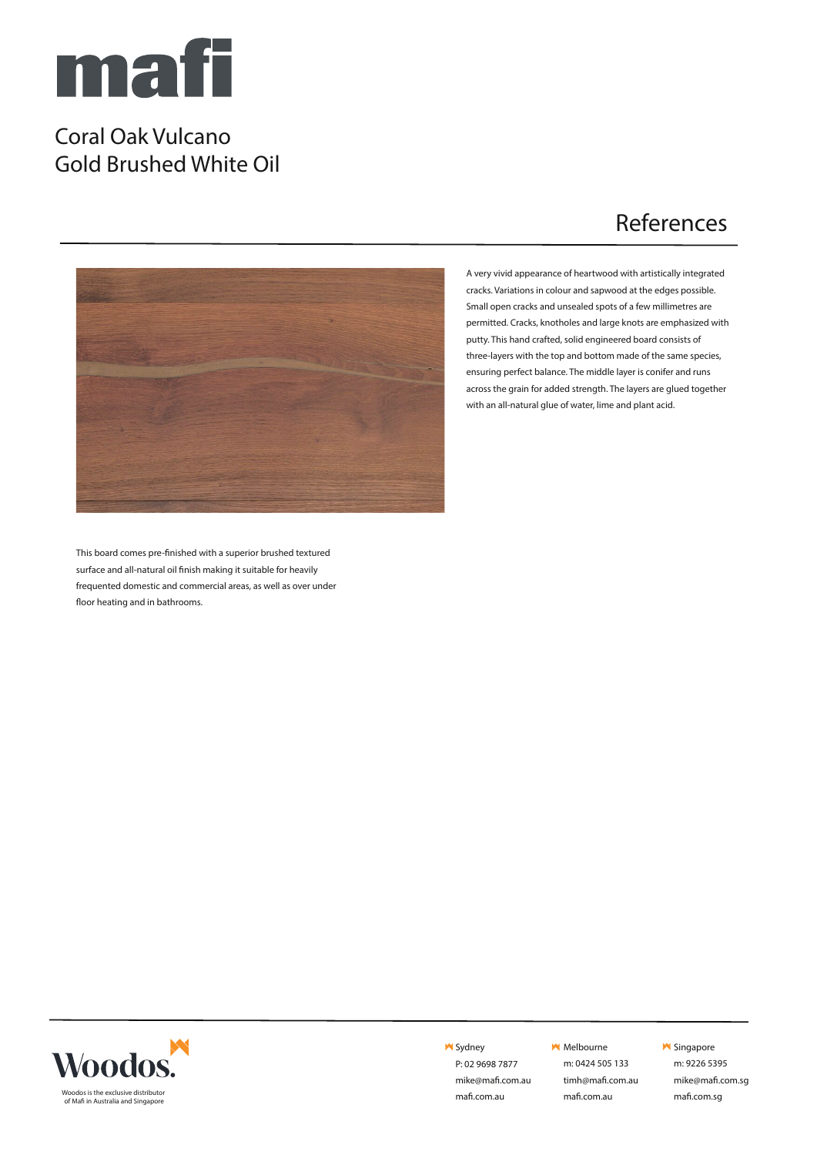

#### Coral Oak Vulcano Gold Brushed White Oil

## References



A very vivid appearance of heartwood with artistically integrated cracks. Variations in colour and sapwood at the edges possible. Small open cracks and unsealed spots of a few millimetres are permitted. Cracks, knotholes and large knots are emphasized with putty. This hand crafted, solid engineered board consists of three-layers with the top and bottom made of the same species, ensuring perfect balance. The middle layer is conifer and runs across the grain for added strength. The layers are glued together with an all-natural glue of water, lime and plant acid.

This board comes pre-finished with a superior brushed textured surface and all-natural oil finish making it suitable for heavily frequented domestic and commercial areas, as well as over under floor heating and in bathrooms.



**M** Sydney P: 02 9698 7877

> mike@mafi.com.au mafi.com.au

**M** Melbourne

m: 0424 505 133 timh@mafi.com.au mafi.com.au

#### **M** Singapore

m: 9226 5395 mike@mafi.com.sg